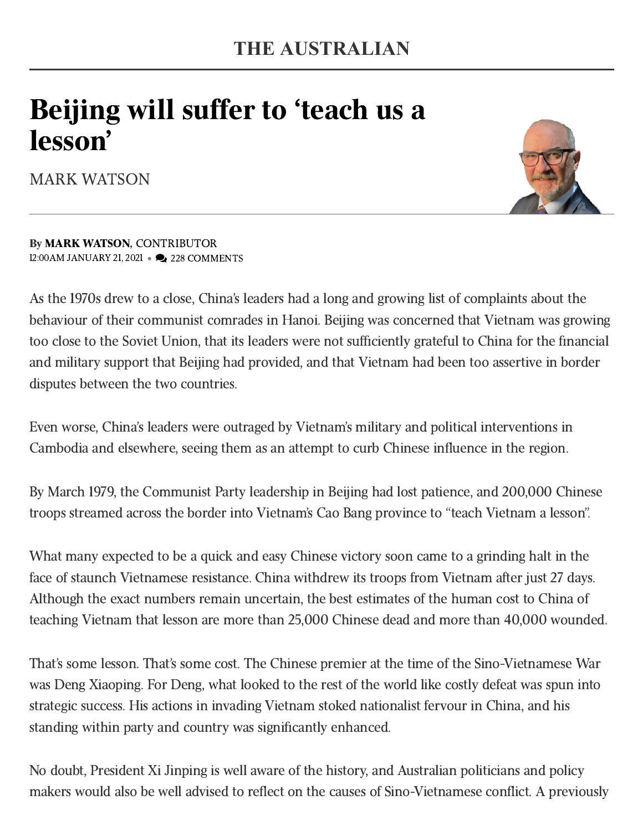## Beijing will suffer to 'teach us a lesson'

MARK [WATSON](https://www.theaustralian.com.au/author/Mark+Watson)



By MARK [WATSON](https://www.theaustralian.com.au/author/Mark+Watson), CONTRIBUTOR 12:00AM JANUARY 21, 2021 • 228 COMMENTS

As the 1970s drew to a close, China's leaders had a long and growing list of complaints about the behaviour of their communist comrades in Hanoi. Beijing was concerned that Vietnam was growing too close to the Soviet Union, that its leaders were not sufficiently grateful to China for the financial and military support that Beijing had provided, and that Vietnam had been too assertive in border disputes between the two countries.

Even worse, China's leaders were outraged by Vietnam's military and political interventions in Cambodia and elsewhere, seeing them as an attempt to curb Chinese influence in the region.

By March 1979, the Communist Party leadership in Beijing had lost patience, and 200,000 Chinese troops streamed across the border into Vietnam's Cao Bang province to "teach Vietnam a lesson".

What many expected to be a quick and easy Chinese victory soon came to a grinding halt in the face of staunch Vietnamese resistance. China withdrew its troops from Vietnam after just 27 days. Although the exact numbers remain uncertain, the best estimates of the human cost to China of teaching Vietnam that lesson are more than 25,000 Chinese dead and more than 40,000 wounded.

That's some lesson. That's some cost. The Chinese premier at the time of the Sino-Vietnamese War was Deng Xiaoping. For Deng, what looked to the rest of the world like costly defeat was spun into strategic success. His actions in invading Vietnam stoked nationalist fervour in China, and his standing within party and country was significantly enhanced.

No doubt, President Xi Jinping is well aware of the history, and Australian politicians and policy makers would also be well advised to reflect on the causes of Sino-Vietnamese conflict. A previously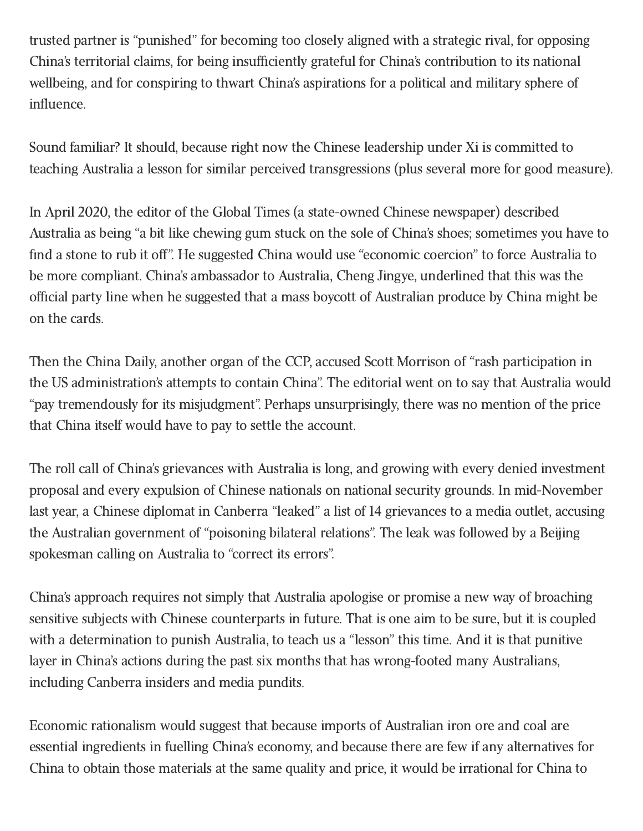trusted partner is "punished" for becoming too closely aligned with a strategic rival, for opposing China's territorial claims, for being insufficiently grateful for China's contribution to its national wellbeing, and for conspiring to thwart China's aspirations for a political and military sphere of influence.

Sound familiar? It should, because right now the Chinese leadership under Xi is committed to teaching Australia a lesson for similar perceived transgressions (plus several more for good measure).

In April 2020, the editor of the Global Times (a state-owned Chinese newspaper) described Australia as being "a bit like chewing gum stuck on the sole of China's shoes; sometimes you have to find a stone to rub it off". He suggested China would use "economic coercion" to force Australia to be more compliant. China's ambassador to Australia, Cheng Jingye, underlined that this was the official party line when he suggested that a mass boycott of Australian produce by China might be on the cards.

Then the China Daily, another organ of the CCP, accused Scott Morrison of "rash participation in the US administration's attempts to contain China". The editorial went on to say that Australia would "pay tremendously for its misjudgment". Perhaps unsurprisingly, there was no mention of the price that China itself would have to pay to settle the account.

The roll call of China's grievances with Australia is long, and growing with every denied investment proposal and every expulsion of Chinese nationals on national security grounds. In mid-November last year, a Chinese diplomat in Canberra "leaked" a list of 14 grievances to a media outlet, accusing the Australian government of "poisoning bilateral relations". The leak was followed by a Beijing spokesman calling on Australia to "correct its errors".

China's approach requires not simply that Australia apologise or promise a new way of broaching sensitive subjects with Chinese counterparts in future. That is one aim to be sure, but it is coupled with a determination to punish Australia, to teach us a "lesson" this time. And it is that punitive layer in China's actions during the past six months that has wrong-footed many Australians, including Canberra insiders and media pundits.

Economic rationalism would suggest that because imports of Australian iron ore and coal are essential ingredients in fuelling China's economy, and because there are few if any alternatives for China to obtain those materials at the same quality and price, it would be irrational for China to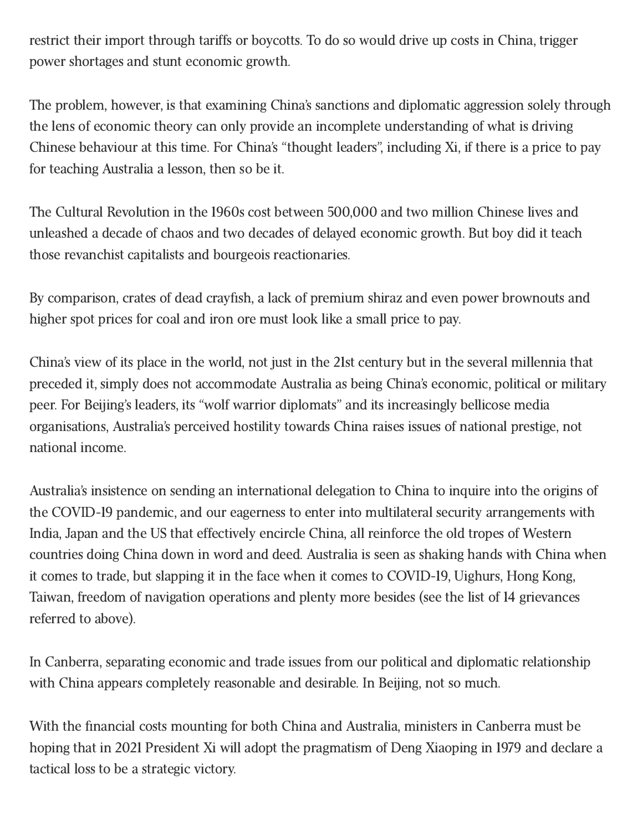restrict their import through tariffs or boycotts. To do so would drive up costs in China, trigger power shortages and stunt economic growth.

The problem, however, is that examining China's sanctions and diplomatic aggression solely through the lens of economic theory can only provide an incomplete understanding of what is driving Chinese behaviour at this time. For China's "thought leaders", including Xi, if there is a price to pay for teaching Australia a lesson, then so be it.

The Cultural Revolution in the 1960s cost between 500,000 and two million Chinese lives and unleashed a decade of chaos and two decades of delayed economic growth. But boy did it teach those revanchist capitalists and bourgeois reactionaries.

By comparison, crates of dead crayfish, a lack of premium shiraz and even power brownouts and higher spot prices for coal and iron ore must look like a small price to pay.

China's view of its place in the world, not just in the 21st century but in the several millennia that preceded it, simply does not accommodate Australia as being China's economic, political or military peer. For Beijing's leaders, its "wolf warrior diplomats" and its increasingly bellicose media organisations, Australia's perceived hostility towards China raises issues of national prestige, not national income.

Australia's insistence on sending an international delegation to China to inquire into the origins of the COVID-19 pandemic, and our eagerness to enter into multilateral security arrangements with India, Japan and the US that effectively encircle China, all reinforce the old tropes of Western countries doing China down in word and deed. Australia is seen as shaking hands with China when it comes to trade, but slapping it in the face when it comes to COVID-19, Uighurs, Hong Kong, Taiwan, freedom of navigation operations and plenty more besides (see the list of 14 grievances referred to above).

In Canberra, separating economic and trade issues from our political and diplomatic relationship with China appears completely reasonable and desirable. In Beijing, not so much.

With the financial costs mounting for both China and Australia, ministers in Canberra must be hoping that in 2021 President Xi will adopt the pragmatism of Deng Xiaoping in 1979 and declare a tactical loss to be a strategic victory.